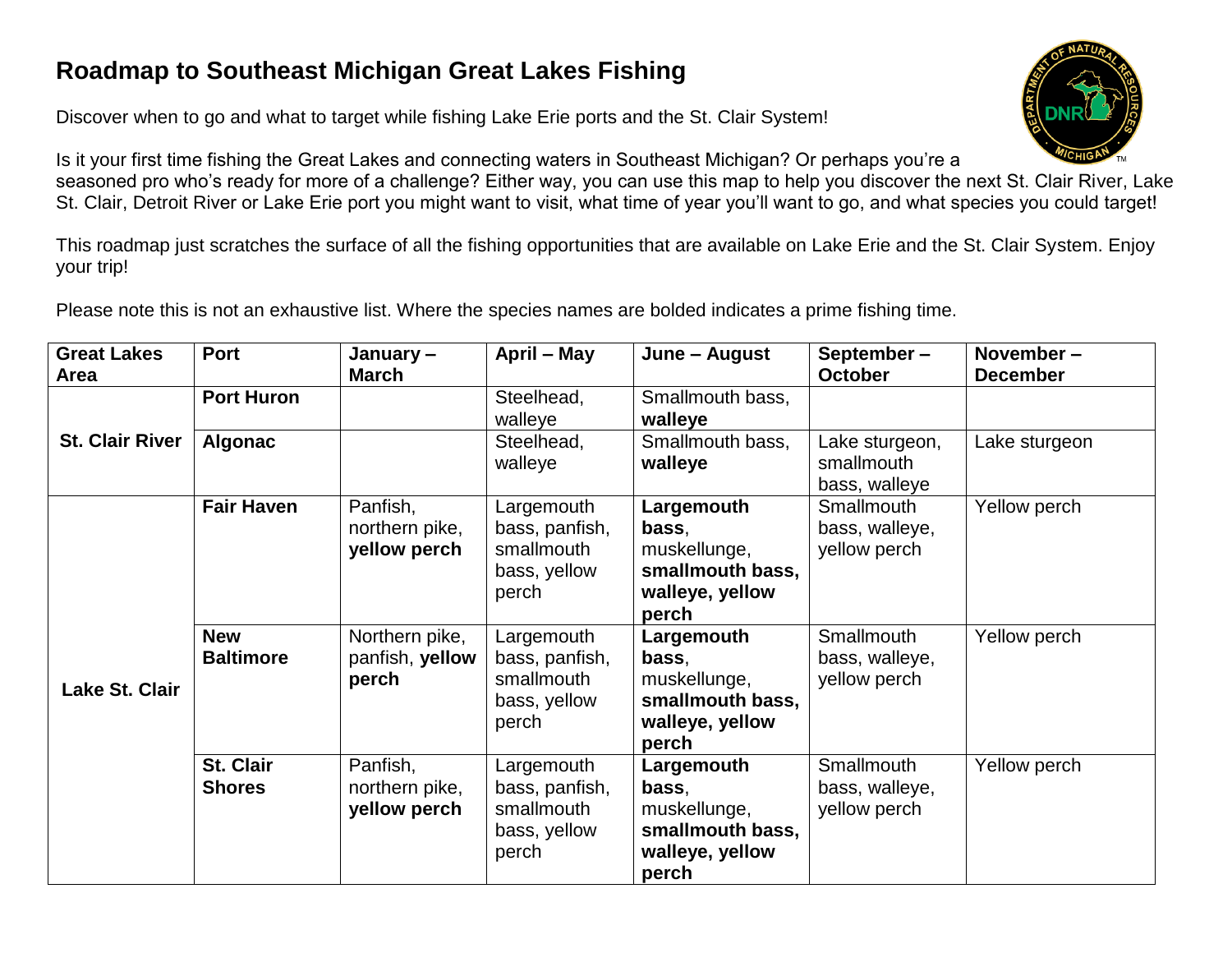## **Roadmap to Southeast Michigan Great Lakes Fishing**

Discover when to go and what to target while fishing Lake Erie ports and the St. Clair System!



Is it your first time fishing the Great Lakes and connecting waters in Southeast Michigan? Or perhaps you're a seasoned pro who's ready for more of a challenge? Either way, you can use this map to help you discover the next St. Clair River, Lake St. Clair, Detroit River or Lake Erie port you might want to visit, what time of year you'll want to go, and what species you could target!

This roadmap just scratches the surface of all the fishing opportunities that are available on Lake Erie and the St. Clair System. Enjoy your trip!

Please note this is not an exhaustive list. Where the species names are bolded indicates a prime fishing time.

| <b>Great Lakes</b>     | <b>Port</b>                       | January-                                   | April - May                                                         | June – August                                                                       | September-                                    | November-       |
|------------------------|-----------------------------------|--------------------------------------------|---------------------------------------------------------------------|-------------------------------------------------------------------------------------|-----------------------------------------------|-----------------|
| Area                   |                                   | <b>March</b>                               |                                                                     |                                                                                     | <b>October</b>                                | <b>December</b> |
| <b>St. Clair River</b> | <b>Port Huron</b>                 |                                            | Steelhead,<br>walleye                                               | Smallmouth bass,<br>walleye                                                         |                                               |                 |
|                        | <b>Algonac</b>                    |                                            | Steelhead,<br>walleye                                               | Smallmouth bass,<br>walleye                                                         | Lake sturgeon,<br>smallmouth<br>bass, walleye | Lake sturgeon   |
| Lake St. Clair         | <b>Fair Haven</b>                 | Panfish,<br>northern pike,<br>yellow perch | Largemouth<br>bass, panfish,<br>smallmouth<br>bass, yellow<br>perch | Largemouth<br>bass,<br>muskellunge,<br>smallmouth bass,<br>walleye, yellow<br>perch | Smallmouth<br>bass, walleye,<br>yellow perch  | Yellow perch    |
|                        | <b>New</b><br><b>Baltimore</b>    | Northern pike,<br>panfish, yellow<br>perch | Largemouth<br>bass, panfish,<br>smallmouth<br>bass, yellow<br>perch | Largemouth<br>bass,<br>muskellunge,<br>smallmouth bass,<br>walleye, yellow<br>perch | Smallmouth<br>bass, walleye,<br>yellow perch  | Yellow perch    |
|                        | <b>St. Clair</b><br><b>Shores</b> | Panfish,<br>northern pike,<br>yellow perch | Largemouth<br>bass, panfish,<br>smallmouth<br>bass, yellow<br>perch | Largemouth<br>bass,<br>muskellunge,<br>smallmouth bass,<br>walleye, yellow<br>perch | Smallmouth<br>bass, walleye,<br>yellow perch  | Yellow perch    |